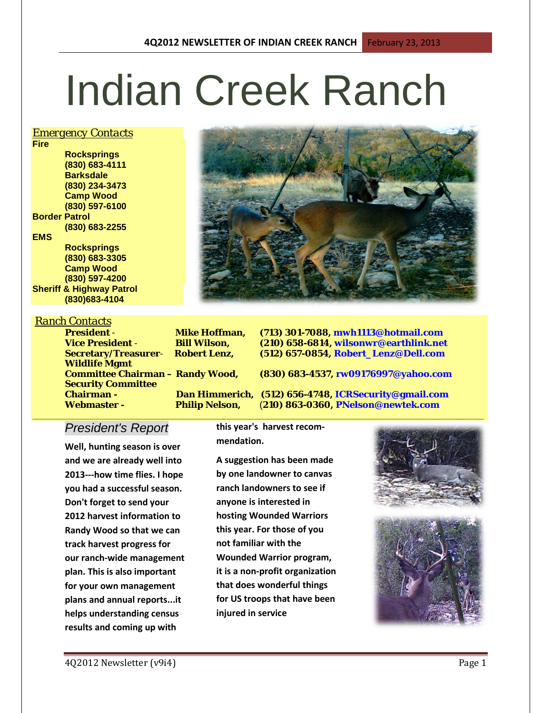# Indian Creek Ranch

### *Emergency Contacts*

**Fire Rocksprings (830) 683-4111 Barksdale (830) 234-3473 Camp Wood (830) 597-6100 Border Patrol (830) 683-2255 EMS Rocksprings (830) 683-3305 Camp Wood (830) 597-4200**

**Sheriff & Highway Patrol (830)683-4104**

#### *Ranch Contacts*

**Wildlife Mgmt Security Committee Webmaster - Philip Nelson,** (**210) 863-0360, PNelson@newtek.com**

**President** - **Mike Hoffman, (713) 301-7088, mwh1113@hotmail.com Bill Wilson, (210) 658-6814, wilsonwr@earthlink.net**<br> **Robert Lenz, (512) 657-0854, Robert Lenz@Dell.com Secretary/Treasurer**- **Robert Lenz, (512) 657-0854, Robert\_Lenz@Dell.com**

**Committee Chairman – Randy Wood, (830) 683-4537, rw09176997@yahoo.com**

**Chairman - Dan Himmerich, (512) 656-4748, ICRSecurity@gmail.com** 

## *President's Report*

**Well, hunting season is over and we are already well into 2013---how time flies. I hope you had a successful season. Don't forget to send your 2012 harvest information to Randy Wood so that we can track harvest progress for our ranch-wide management plan. This is also important for your own management plans and annual reports...it helps understanding census results and coming up with** 

**this year's harvest recommendation.**

**A suggestion has been made by one landowner to canvas ranch landowners to see if anyone is interested in hosting Wounded Warriors this year. For those of you not familiar with the Wounded Warrior program, it is a non-profit organization that does wonderful things for US troops that have been injured in service**



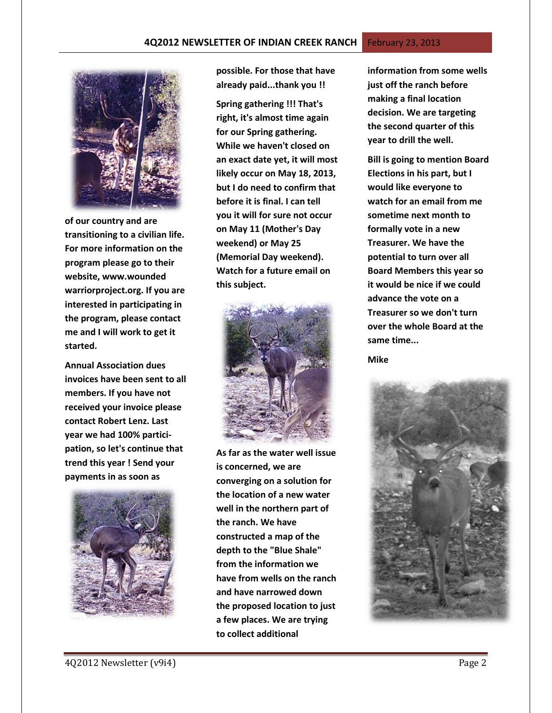

**of our country and are transitioning to a civilian life. For more information on the program please go to their website, www.wounded warriorproject.org. If you are interested in participating in the program, please contact me and I will work to get it started.**

**Annual Association dues invoices have been sent to all members. If you have not received your invoice please contact Robert Lenz. Last year we had 100% participation, so let's continue that trend this year ! Send your payments in as soon as** 



**possible. For those that have already paid...thank you !!**

**Spring gathering !!! That's right, it's almost time again for our Spring gathering. While we haven't closed on an exact date yet, it will most likely occur on May 18, 2013, but I do need to confirm that before it is final. I can tell you it will for sure not occur on May 11 (Mother's Day weekend) or May 25 (Memorial Day weekend). Watch for a future email on this subject.**



**As far as the water well issue is concerned, we are converging on a solution for the location of a new water well in the northern part of the ranch. We have constructed a map of the depth to the "Blue Shale" from the information we have from wells on the ranch and have narrowed down the proposed location to just a few places. We are trying to collect additional** 

**information from some wells just off the ranch before making a final location decision. We are targeting the second quarter of this year to drill the well.**

**Bill is going to mention Board Elections in his part, but I would like everyone to watch for an email from me sometime next month to formally vote in a new Treasurer. We have the potential to turn over all Board Members this year so it would be nice if we could advance the vote on a Treasurer so we don't turn over the whole Board at the same time...**

**Mike**

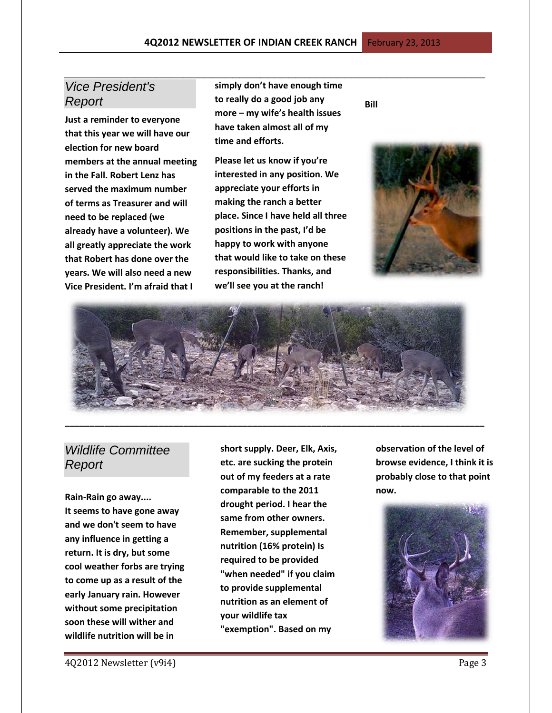## *Vice President's Report*

**Just a reminder to everyone that this year we will have our election for new board members at the annual meeting in the Fall. Robert Lenz has served the maximum number of terms as Treasurer and will need to be replaced (we already have a volunteer). We all greatly appreciate the work that Robert has done over the years. We will also need a new Vice President. I'm afraid that I** 

**simply don't have enough time to really do a good job any more – my wife's health issues have taken almost all of my time and efforts.** 

*\_\_\_\_\_\_\_\_\_\_\_\_\_\_\_\_\_\_\_\_\_\_\_\_\_\_\_\_\_\_\_\_\_\_\_\_\_\_\_\_\_\_\_\_\_\_\_\_\_\_\_\_\_\_\_\_\_\_\_\_*

**Please let us know if you're interested in any position. We appreciate your efforts in making the ranch a better place. Since I have held all three positions in the past, I'd be happy to work with anyone that would like to take on these responsibilities. Thanks, and we'll see you at the ranch!**

**Bill**





# *Wildlife Committee Report*

**Rain-Rain go away.... It seems to have gone away and we don't seem to have any influence in getting a return. It is dry, but some cool weather forbs are trying to come up as a result of the early January rain. However without some precipitation soon these will wither and wildlife nutrition will be in** 

**short supply. Deer, Elk, Axis, etc. are sucking the protein out of my feeders at a rate comparable to the 2011 drought period. I hear the same from other owners. Remember, supplemental nutrition (16% protein) Is required to be provided "when needed" if you claim to provide supplemental nutrition as an element of your wildlife tax "exemption". Based on my** 

**observation of the level of browse evidence, I think it is probably close to that point now.** 

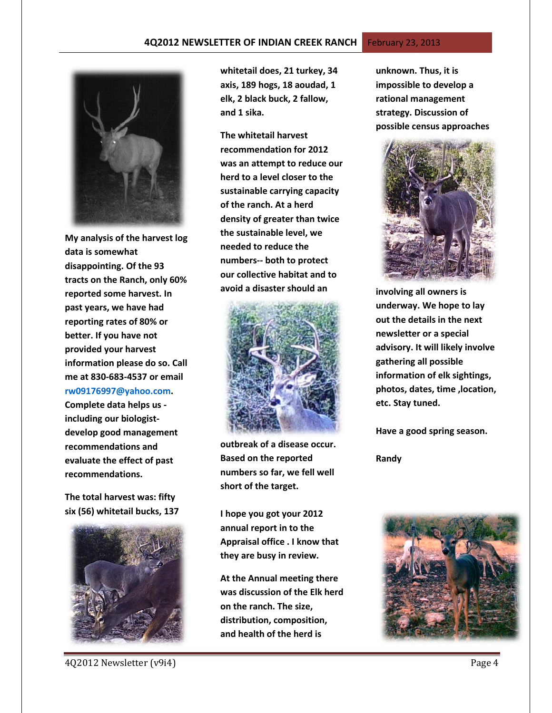#### **4Q2012 NEWSLETTER OF INDIAN CREEK RANCH** February 23, 2013



**My analysis of the harvest log data is somewhat disappointing. Of the 93 tracts on the Ranch, only 60% reported some harvest. In past years, we have had reporting rates of 80% or better. If you have not provided your harvest information please do so. Call me at 830-683-4537 or email [rw09176997@yahoo.com.](mailto:rw09176997@yahoo.com)** 

**Complete data helps us including our biologistdevelop good management recommendations and evaluate the effect of past recommendations.** 

**The total harvest was: fifty six (56) whitetail bucks, 137** 



**whitetail does, 21 turkey, 34 axis, 189 hogs, 18 aoudad, 1 elk, 2 black buck, 2 fallow, and 1 sika.** 

**The whitetail harvest recommendation for 2012 was an attempt to reduce our herd to a level closer to the sustainable carrying capacity of the ranch. At a herd density of greater than twice the sustainable level, we needed to reduce the numbers-- both to protect our collective habitat and to avoid a disaster should an** 



**outbreak of a disease occur. Based on the reported numbers so far, we fell well short of the target.** 

**I hope you got your 2012 annual report in to the Appraisal office . I know that they are busy in review.** 

**At the Annual meeting there was discussion of the Elk herd on the ranch. The size, distribution, composition, and health of the herd is** 

**unknown. Thus, it is impossible to develop a rational management strategy. Discussion of possible census approaches** 



**involving all owners is underway. We hope to lay out the details in the next newsletter or a special advisory. It will likely involve gathering all possible information of elk sightings, photos, dates, time ,location, etc. Stay tuned.** 

**Have a good spring season.**

**Randy**



4Q2012 Newsletter (v9i4) Page 4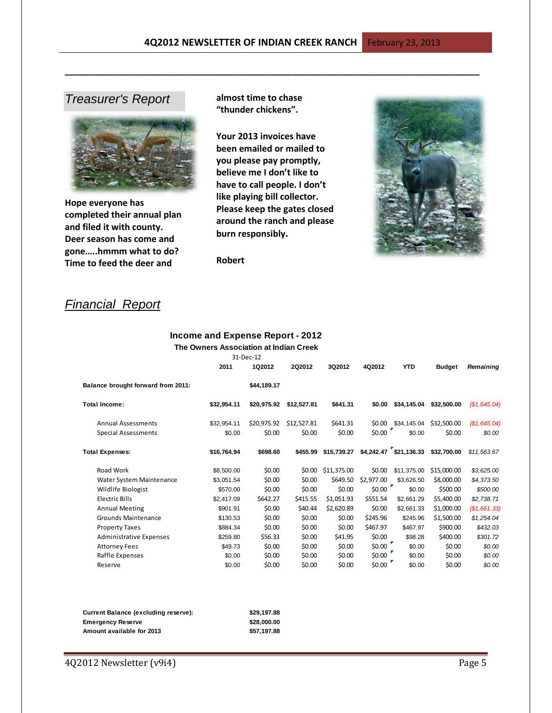## *Treasurer's Report*



**Hope everyone has completed their annual plan and filed it with county. Deer season has come and gone…..hmmm what to do? Time to feed the deer and** 

**almost time to chase "thunder chickens".** 

**\_\_\_\_\_\_\_\_\_\_\_\_\_\_\_\_\_\_\_\_\_\_\_\_\_\_\_\_\_\_\_\_\_\_\_\_\_\_\_\_\_\_\_\_\_\_\_\_\_\_\_\_\_\_\_\_\_\_\_\_\_\_\_\_\_\_\_\_\_\_\_\_\_\_\_\_\_\_\_\_\_\_\_\_**

**Your 2013 invoices have been emailed or mailed to you please pay promptly, believe me I don't like to have to call people. I don't like playing bill collector. Please keep the gates closed around the ranch and please burn responsibly.**



**Robert** 

# *Financial Report*

## **Income and Expense Report - 2012**

|                                    | The Owners Association at Indian Creek |             |               |             |            |                          |               |              |
|------------------------------------|----------------------------------------|-------------|---------------|-------------|------------|--------------------------|---------------|--------------|
|                                    | 31-Dec-12                              |             |               |             |            |                          |               |              |
|                                    | 2011                                   | 1Q2012      | <b>2Q2012</b> | 3Q2012      | 4Q2012     | <b>YTD</b>               | <b>Budget</b> | Remaining    |
| Balance brought forward from 2011: |                                        | \$44,189.17 |               |             |            |                          |               |              |
| Total Income:                      | \$32,954.11                            | \$20,975.92 | \$12,527.81   | \$641.31    | \$0.00     | \$34,145.04              | \$32,500.00   | (S1, 645.04) |
| <b>Annual Assessments</b>          | \$32,954.11                            | \$20,975.92 | \$12,527.81   | \$641.31    | \$0.00     | \$34,145.04              | \$32,500.00   | (S1, 645.04) |
| <b>Special Assessments</b>         | \$0.00                                 | \$0.00      | \$0.00        | \$0.00      | \$0.00     | \$0.00                   | \$0.00        | \$0.00       |
| Total Expenses:                    | \$16,764.94                            | \$698.60    | \$455.99      | \$15,739,27 |            | $$4,242.47$ $$21,136.33$ | \$32,700.00   | \$11.563.67  |
| Road Work                          | \$8,500.00                             | \$0.00      | \$0.00        | \$11.375.00 | \$0.00     | \$11.375.00              | \$15,000.00   | \$3,625.00   |
| Water System Maintenance           | \$3,051.54                             | \$0.00      | \$0.00        | \$649.50    | \$2,977.00 | \$3,626.50               | \$8,000.00    | \$4,373.50   |
| Wildlife Biologist                 | \$570.00                               | \$0.00      | \$0.00        | \$0.00      | \$0.00     | ×<br>\$0.00              | \$500.00      | \$500.00     |
| <b>Electric Bills</b>              | \$2,417.09                             | \$642.27    | \$415.55      | \$1,051.93  | \$551.54   | \$2,661.29               | \$5,400.00    | \$2,738.71   |
| <b>Annual Meeting</b>              | \$901.91                               | \$0.00      | \$40.44       | \$2,620.89  | \$0.00     | \$2.661.33               | \$1,000.00    | (\$1,661.33) |
| <b>Grounds Maintenance</b>         | \$130.53                               | \$0.00      | \$0.00        | \$0.00      | \$245.96   | \$245.96                 | \$1,500.00    | \$1,254.04   |
| <b>Property Taxes</b>              | \$884.34                               | \$0.00      | \$0.00        | \$0.00      | \$467.97   | \$467.97                 | \$900.00      | \$432.03     |
| Administrative Expenses            | \$259.80                               | \$56.33     | \$0.00        | \$41.95     | \$0.00     | \$98.28                  | \$400.00      | \$301.72     |
| <b>Attorney Fees</b>               | \$49.73                                | \$0.00      | \$0.00        | \$0.00      | \$0.00     | \$0.00                   | \$0.00        | \$0.00       |
| Raffle Expenses                    | \$0.00                                 | \$0.00      | \$0.00        | \$0.00      | \$0.00     | \$0.00                   | \$0.00        | \$0.00       |
| Reserve                            | \$0.00                                 | \$0.00      | \$0.00        | \$0.00      | \$0.00     | \$0.00                   | \$0.00        | \$0.00       |

| Current Balance (excluding reserve): | \$29,197.88 |  |  |
|--------------------------------------|-------------|--|--|
| Emergency Reserve                    | \$28,000,00 |  |  |
| Amount available for 2013            | \$57.197.88 |  |  |